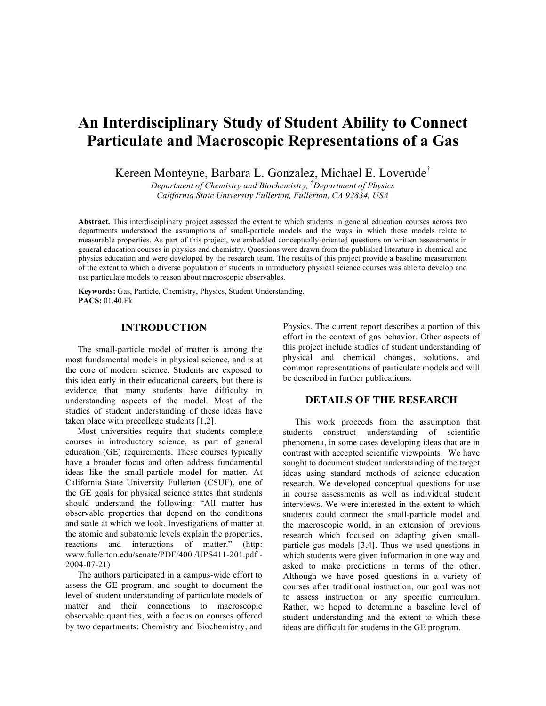# **An Interdisciplinary Study of Student Ability to Connect Particulate and Macroscopic Representations of a Gas**

Kereen Monteyne, Barbara L. Gonzalez, Michael E. Loverude†

*Department of Chemistry and Biochemistry, † Department of Physics California State University Fullerton, Fullerton, CA 92834, USA*

**Abstract.** This interdisciplinary project assessed the extent to which students in general education courses across two departments understood the assumptions of small-particle models and the ways in which these models relate to measurable properties. As part of this project, we embedded conceptually-oriented questions on written assessments in general education courses in physics and chemistry. Questions were drawn from the published literature in chemical and physics education and were developed by the research team. The results of this project provide a baseline measurement of the extent to which a diverse population of students in introductory physical science courses was able to develop and use particulate models to reason about macroscopic observables.

**Keywords:** Gas, Particle, Chemistry, Physics, Student Understanding. **PACS:** 01.40.Fk

### **INTRODUCTION**

The small-particle model of matter is among the most fundamental models in physical science, and is at the core of modern science. Students are exposed to this idea early in their educational careers, but there is evidence that many students have difficulty in understanding aspects of the model. Most of the studies of student understanding of these ideas have taken place with precollege students [1,2].

Most universities require that students complete courses in introductory science, as part of general education (GE) requirements. These courses typically have a broader focus and often address fundamental ideas like the small-particle model for matter. At California State University Fullerton (CSUF), one of the GE goals for physical science states that students should understand the following: "All matter has observable properties that depend on the conditions and scale at which we look. Investigations of matter at the atomic and subatomic levels explain the properties, reactions and interactions of matter." (http: www.fullerton.edu/senate/PDF/400 /UPS411-201.pdf - 2004-07-21)

The authors participated in a campus-wide effort to assess the GE program, and sought to document the level of student understanding of particulate models of matter and their connections to macroscopic observable quantities, with a focus on courses offered by two departments: Chemistry and Biochemistry, and

Physics. The current report describes a portion of this effort in the context of gas behavior. Other aspects of this project include studies of student understanding of physical and chemical changes, solutions, and common representations of particulate models and will be described in further publications.

# **DETAILS OF THE RESEARCH**

This work proceeds from the assumption that students construct understanding of scientific phenomena, in some cases developing ideas that are in contrast with accepted scientific viewpoints. We have sought to document student understanding of the target ideas using standard methods of science education research. We developed conceptual questions for use in course assessments as well as individual student interviews. We were interested in the extent to which students could connect the small-particle model and the macroscopic world, in an extension of previous research which focused on adapting given smallparticle gas models [3,4]. Thus we used questions in which students were given information in one way and asked to make predictions in terms of the other. Although we have posed questions in a variety of courses after traditional instruction, our goal was not to assess instruction or any specific curriculum. Rather, we hoped to determine a baseline level of student understanding and the extent to which these ideas are difficult for students in the GE program.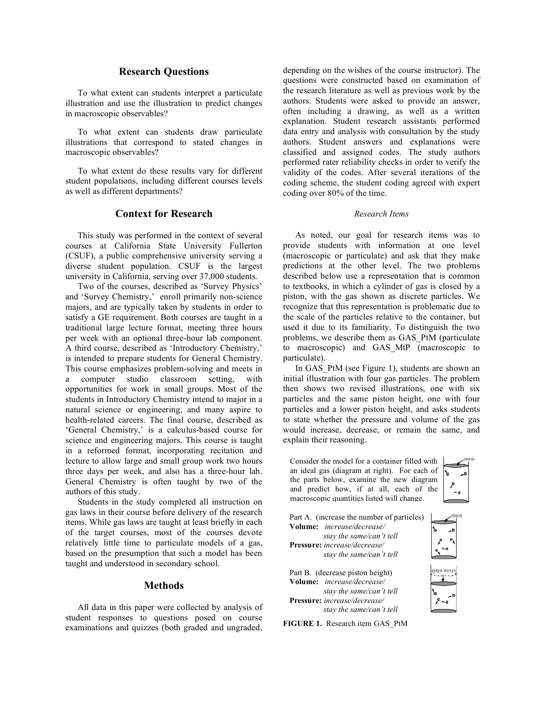## **Research Questions**

To what extent can students interpret a particulate illustration and use the illustration to predict changes in macroscopic observables?

To what extent can students draw particulate illustrations that correspond to stated changes in macroscopic observables?

To what extent do these results vary for different student populations, including different courses levels as well as different departments?

## **Context for Research**

This study was performed in the context of several courses at California State University Fullerton (CSUF), a public comprehensive university serving a diverse student population. CSUF is the largest university in California, serving over 37,000 students.

Two of the courses, described as 'Survey Physics' and 'Survey Chemistry,' enroll primarily non-science majors, and are typically taken by students in order to satisfy a GE requirement. Both courses are taught in a traditional large lecture format, meeting three hours per week with an optional three-hour lab component. A third course, described as 'Introductory Chemistry,' is intended to prepare students for General Chemistry. This course emphasizes problem-solving and meets in a computer studio classroom setting, with opportunities for work in small groups. Most of the students in Introductory Chemistry intend to major in a natural science or engineering, and many aspire to health-related careers. The final course, described as 'General Chemistry,' is a calculus-based course for science and engineering majors. This course is taught in a reformed format, incorporating recitation and lecture to allow large and small group work two hours three days per week, and also has a three-hour lab. General Chemistry is often taught by two of the authors of this study.

Students in the study completed all instruction on gas laws in their course before delivery of the research items. While gas laws are taught at least briefly in each of the target courses, most of the courses devote relatively little time to particulate models of a gas, based on the presumption that such a model has been taught and understood in secondary school.

## **Methods**

All data in this paper were collected by analysis of student responses to questions posed on course examinations and quizzes (both graded and ungraded, depending on the wishes of the course instructor). The questions were constructed based on examination of the research literature as well as previous work by the authors. Students were asked to provide an answer, often including a drawing, as well as a written explanation. Student research assistants performed data entry and analysis with consultation by the study authors. Student answers and explanations were classified and assigned codes. The study authors performed rater reliability checks in order to verify the validity of the codes. After several iterations of the coding scheme, the student coding agreed with expert coding over 80% of the time.

#### *Research Items*

As noted, our goal for research items was to provide students with information at one level (macroscopic or particulate) and ask that they make predictions at the other level. The two problems described below use a representation that is common to textbooks, in which a cylinder of gas is closed by a piston, with the gas shown as discrete particles. We recognize that this representation is problematic due to the scale of the particles relative to the container, but used it due to its familiarity. To distinguish the two problems, we describe them as GAS\_PtM (particulate to macroscopic) and GAS\_MtP (macroscopic to particulate).

In GAS PtM (see Figure 1), students are shown an initial illustration with four gas particles. The problem then shows two revised illustrations, one with six particles and the same piston height, one with four particles and a lower piston height, and asks students to state whether the pressure and volume of the gas would increase, decrease, or remain the same, and explain their reasoning.

Consider the model for a container filled with an ideal gas (diagram at right). For each of the parts below, examine the new diagram and predict how, if at all, each of the macroscopic quantities listed will change.

Part A. (increase the number of particles) **Volume:** *increase/decrease/ stay the same/can't tell* **Pressure:** *increase/decrease/ stay the same/can't tell*

Part B. (decrease piston height) **Volume:** *increase/decrease/ stay the same/can't tell* **Pressure:** *increase/decrease/ stay the same/can't tell*

**FIGURE 1.** Research item GAS\_PtM



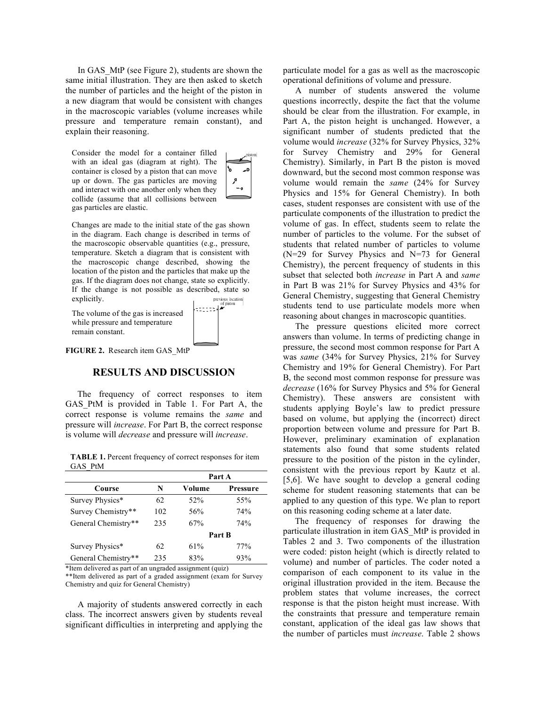In GAS\_MtP (see Figure 2), students are shown the same initial illustration. They are then asked to sketch the number of particles and the height of the piston in a new diagram that would be consistent with changes in the macroscopic variables (volume increases while pressure and temperature remain constant), and explain their reasoning.

Consider the model for a container filled with an ideal gas (diagram at right). The container is closed by a piston that can move up or down. The gas particles are moving and interact with one another only when they collide (assume that all collisions between gas particles are elastic.



Changes are made to the initial state of the gas shown in the diagram. Each change is described in terms of the macroscopic observable quantities (e.g., pressure, temperature. Sketch a diagram that is consistent with the macroscopic change described, showing the location of the piston and the particles that make up the gas. If the diagram does not change, state so explicitly. If the change is not possible as described, state so explicitly. explicitly.

The volume of the gas is increased while pressure and temperature remain constant.

**FIGURE 2.** Research item GAS\_MtP

# **RESULTS AND DISCUSSION**

The frequency of correct responses to item GAS PtM is provided in Table 1. For Part A, the correct response is volume remains the *same* and pressure will *increase*. For Part B, the correct response is volume will *decrease* and pressure will *increase*.

**TABLE 1.** Percent frequency of correct responses for item GAS\_PtM

|                     |     | Part A |                 |  |
|---------------------|-----|--------|-----------------|--|
| Course              | N   | Volume | <b>Pressure</b> |  |
| Survey Physics*     | 62  | 52%    | 55%             |  |
| Survey Chemistry**  | 102 | 56%    | 74%             |  |
| General Chemistry** | 235 | 67%    | 74%             |  |
|                     |     | Part B |                 |  |
| Survey Physics*     | 62  | 61%    | 77%             |  |
| General Chemistry** | 235 | 83%    | 93%             |  |

\*Item delivered as part of an ungraded assignment (quiz) \*\*Item delivered as part of a graded assignment (exam for Survey Chemistry and quiz for General Chemistry)

A majority of students answered correctly in each class. The incorrect answers given by students reveal significant difficulties in interpreting and applying the

particulate model for a gas as well as the macroscopic operational definitions of volume and pressure.

A number of students answered the volume questions incorrectly, despite the fact that the volume should be clear from the illustration. For example, in Part A, the piston height is unchanged. However, a significant number of students predicted that the volume would *increase* (32% for Survey Physics, 32% for Survey Chemistry and 29% for General Chemistry). Similarly, in Part B the piston is moved downward, but the second most common response was volume would remain the *same* (24% for Survey Physics and 15% for General Chemistry). In both cases, student responses are consistent with use of the particulate components of the illustration to predict the volume of gas. In effect, students seem to relate the number of particles to the volume. For the subset of students that related number of particles to volume (N=29 for Survey Physics and N=73 for General Chemistry), the percent frequency of students in this subset that selected both *increase* in Part A and *same* in Part B was 21% for Survey Physics and 43% for General Chemistry, suggesting that General Chemistry students tend to use particulate models more when reasoning about changes in macroscopic quantities.

The pressure questions elicited more correct answers than volume. In terms of predicting change in pressure, the second most common response for Part A was *same* (34% for Survey Physics, 21% for Survey Chemistry and 19% for General Chemistry). For Part B, the second most common response for pressure was *decrease* (16% for Survey Physics and 5% for General Chemistry). These answers are consistent with students applying Boyle's law to predict pressure based on volume, but applying the (incorrect) direct proportion between volume and pressure for Part B. However, preliminary examination of explanation statements also found that some students related pressure to the position of the piston in the cylinder, consistent with the previous report by Kautz et al. [5,6]. We have sought to develop a general coding scheme for student reasoning statements that can be applied to any question of this type. We plan to report on this reasoning coding scheme at a later date.

The frequency of responses for drawing the particulate illustration in item GAS\_MtP is provided in Tables 2 and 3. Two components of the illustration were coded: piston height (which is directly related to volume) and number of particles. The coder noted a comparison of each component to its value in the original illustration provided in the item. Because the problem states that volume increases, the correct response is that the piston height must increase. With the constraints that pressure and temperature remain constant, application of the ideal gas law shows that the number of particles must *increase*. Table 2 shows